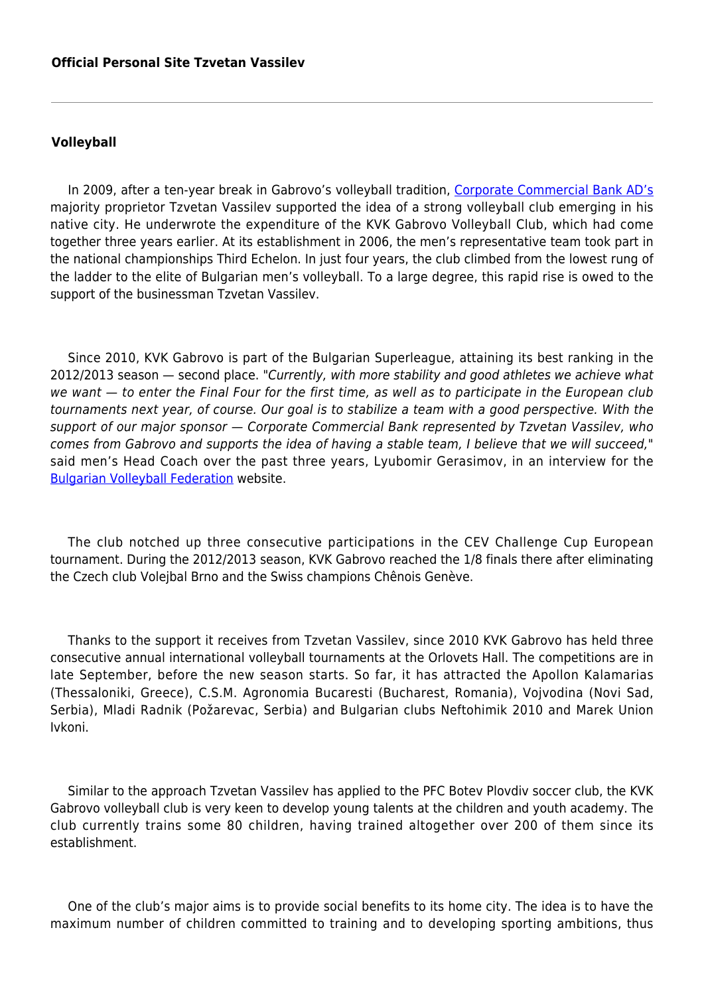## **Volleyball**

In 2009, after a ten-year break in Gabrovo's volleyball tradition, [Corporate Commercial Bank AD's](http://www.corpbank.bg/?setLang=EN) majority proprietor Tzvetan Vassilev supported the idea of a strong volleyball club emerging in his native city. He underwrote the expenditure of the KVK Gabrovo Volleyball Club, which had come together three years earlier. At its establishment in 2006, the men's representative team took part in the national championships Third Echelon. In just four years, the club climbed from the lowest rung of the ladder to the elite of Bulgarian men's volleyball. To a large degree, this rapid rise is owed to the support of the businessman Tzvetan Vassilev.

Since 2010, KVK Gabrovo is part of the Bulgarian Superleague, attaining its best ranking in the 2012/2013 season — second place. "Currently, with more stability and good athletes we achieve what we want — to enter the Final Four for the first time, as well as to participate in the European club tournaments next year, of course. Our goal is to stabilize a team with a good perspective. With the support of our major sponsor — Corporate Commercial Bank represented by Tzvetan Vassilev, who comes from Gabrovo and supports the idea of having a stable team, I believe that we will succeed," said men's Head Coach over the past three years, Lyubomir Gerasimov, in an interview for the [Bulgarian Volleyball Federation](http://www.volleyball.bg/) website.

The club notched up three consecutive participations in the CEV Challenge Cup European tournament. During the 2012/2013 season, KVK Gabrovo reached the 1/8 finals there after eliminating the Czech club Volejbal Brno and the Swiss champions Chênois Genève.

Thanks to the support it receives from Tzvetan Vassilev, since 2010 KVK Gabrovo has held three consecutive annual international volleyball tournaments at the Orlovets Hall. The competitions are in late September, before the new season starts. So far, it has attracted the Apollon Kalamarias (Thessaloniki, Greece), C.S.M. Agronomia Bucaresti (Bucharest, Romania), Vojvodina (Novi Sad, Serbia), Mladi Radnik (Požarevac, Serbia) and Bulgarian clubs Neftohimik 2010 and Marek Union Ivkoni.

Similar to the approach Tzvetan Vassilev has applied to the PFC Botev Plovdiv soccer club, the KVK Gabrovo volleyball club is very keen to develop young talents at the children and youth academy. The club currently trains some 80 children, having trained altogether over 200 of them since its establishment.

One of the club's major aims is to provide social benefits to its home city. The idea is to have the maximum number of children committed to training and to developing sporting ambitions, thus